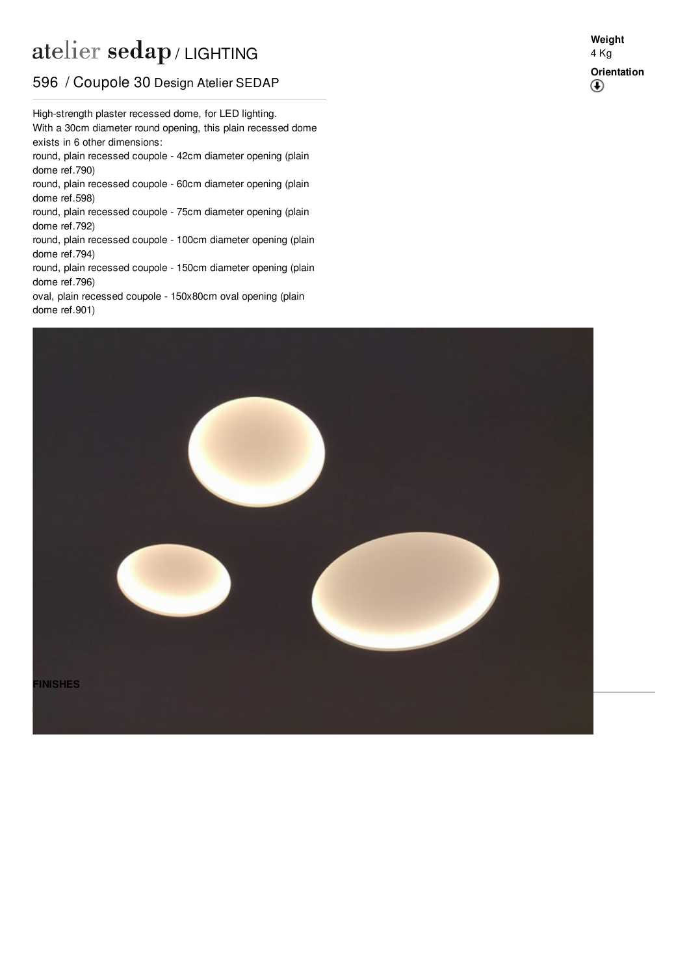## atelier sedap / LIGHTING

## 596 / Coupole 30 Design Atelier SEDAP

With a 30cm diameter round opening, this plain recessed dome High-strength plaster recessed dome, for LED lighting. exists in 6 other dimensions: round, plain recessed coupole - 42cm diameter opening (plain dome ref[.790](http://www.sedap.com/lighting/fr/produits/view/790))

round, plain recessed coupole - 60cm diameter opening (plain dome ref[.598](http://www.sedap.com/lighting/fr/produits/view/598))

round, plain recessed coupole - 75cm diameter opening (plain dome ref[.792](http://www.sedap.com/lighting/fr/produits/view/792))

round, plain recessed coupole - 100cm diameter opening (plain dome ref[.794](http://www.sedap.com/lighting/fr/produits/view/794))

round, plain recessed coupole - 150cm diameter opening (plain dome ref[.796](http://www.sedap.com/lighting/fr/produits/view/796))

oval, plain recessed coupole - 150x80cm oval opening (plain dome ref[.901](http://www.sedap.com/lighting/fr/produits/view/901))